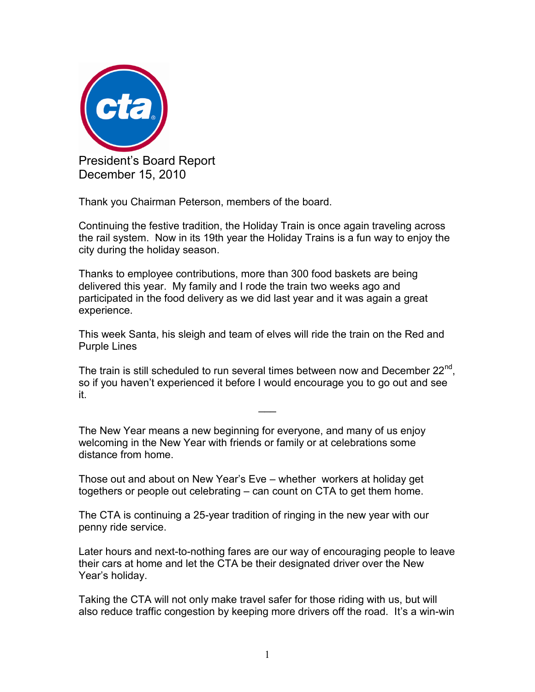

Thank you Chairman Peterson, members of the board.

Continuing the festive tradition, the Holiday Train is once again traveling across the rail system. Now in its 19th year the Holiday Trains is a fun way to enjoy the city during the holiday season.

Thanks to employee contributions, more than 300 food baskets are being delivered this year. My family and I rode the train two weeks ago and participated in the food delivery as we did last year and it was again a great experience.

This week Santa, his sleigh and team of elves will ride the train on the Red and Purple Lines

The train is still scheduled to run several times between now and December  $22^{nd}$ , so if you haven't experienced it before I would encourage you to go out and see it.

 $\overline{\phantom{a}}$ 

The New Year means a new beginning for everyone, and many of us enjoy welcoming in the New Year with friends or family or at celebrations some distance from home.

Those out and about on New Year's Eve – whether workers at holiday get togethers or people out celebrating – can count on CTA to get them home.

The CTA is continuing a 25-year tradition of ringing in the new year with our penny ride service.

Later hours and next-to-nothing fares are our way of encouraging people to leave their cars at home and let the CTA be their designated driver over the New Year's holiday.

Taking the CTA will not only make travel safer for those riding with us, but will also reduce traffic congestion by keeping more drivers off the road. It's a win-win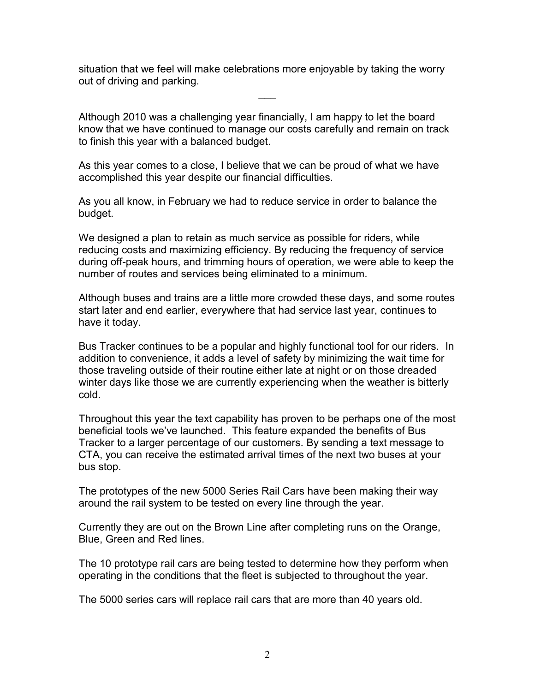situation that we feel will make celebrations more enjoyable by taking the worry out of driving and parking.

 $\overline{\phantom{a}}$ 

Although 2010 was a challenging year financially, I am happy to let the board know that we have continued to manage our costs carefully and remain on track to finish this year with a balanced budget.

As this year comes to a close, I believe that we can be proud of what we have accomplished this year despite our financial difficulties.

As you all know, in February we had to reduce service in order to balance the budget.

We designed a plan to retain as much service as possible for riders, while reducing costs and maximizing efficiency. By reducing the frequency of service during off-peak hours, and trimming hours of operation, we were able to keep the number of routes and services being eliminated to a minimum.

Although buses and trains are a little more crowded these days, and some routes start later and end earlier, everywhere that had service last year, continues to have it today.

Bus Tracker continues to be a popular and highly functional tool for our riders. In addition to convenience, it adds a level of safety by minimizing the wait time for those traveling outside of their routine either late at night or on those dreaded winter days like those we are currently experiencing when the weather is bitterly cold.

Throughout this year the text capability has proven to be perhaps one of the most beneficial tools we've launched. This feature expanded the benefits of Bus Tracker to a larger percentage of our customers. By sending a text message to CTA, you can receive the estimated arrival times of the next two buses at your bus stop.

The prototypes of the new 5000 Series Rail Cars have been making their way around the rail system to be tested on every line through the year.

Currently they are out on the Brown Line after completing runs on the Orange, Blue, Green and Red lines.

The 10 prototype rail cars are being tested to determine how they perform when operating in the conditions that the fleet is subjected to throughout the year.

The 5000 series cars will replace rail cars that are more than 40 years old.